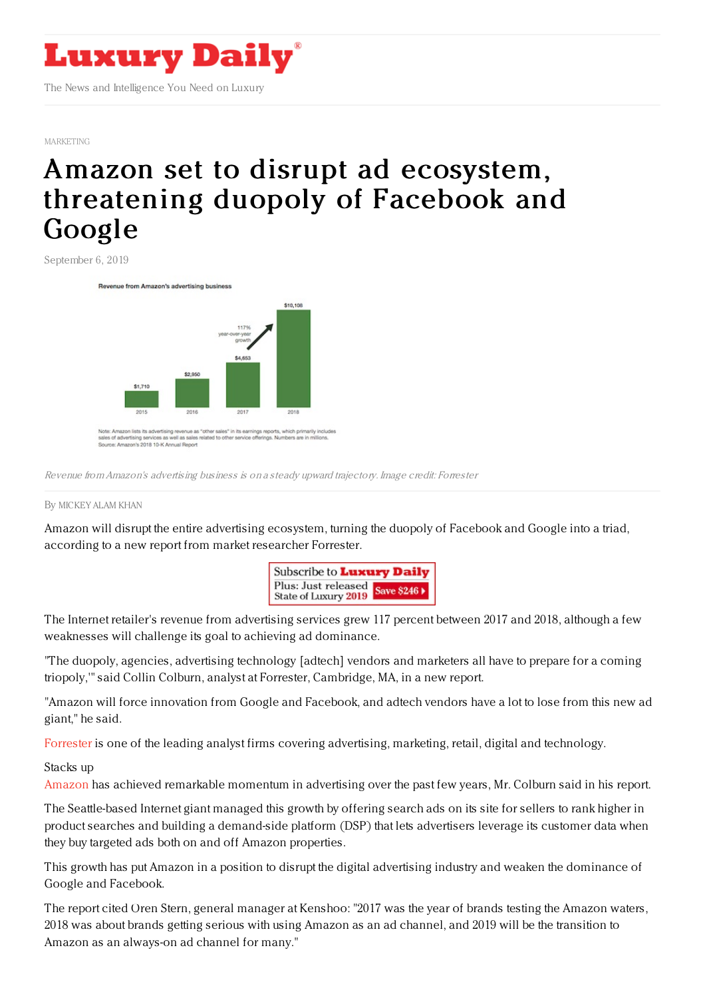

[MARKETING](https://www.luxurydaily.com/category/sectors/marketing-industry-sectors/)

## Amazon set to disrupt ad ecosystem, [threatening](https://www.luxurydaily.com/amazon-set-to-disrupt-ad-ecosystem-threatening-duopoly-of-facebook-and-google/) duopoly of Facebook and Google

September 6, 2019

Revenue from Amazon's advertising busines:



Source: Amazon's 2018 10-K Annual Report

Revenue from Amazon's advertising business is on <sup>a</sup> steady upward trajectory. Image credit: Forrester

## By [MICKEY](file:///author/mickey) ALAM KHAN

Amazon will disrupt the entire advertising ecosystem, turning the duopoly of Facebook and Google into a triad, according to a new report from market researcher Forrester.



The Internet retailer's revenue from advertising services grew 117 percent between 2017 and 2018, although a few weaknesses will challenge its goal to achieving ad dominance.

"The duopoly, agencies, advertising technology [adtech] vendors and marketers all have to prepare for a coming triopoly,'" said Collin Colburn, analyst at Forrester, Cambridge, MA, in a new report.

"Amazon will force innovation from Google and Facebook, and adtech vendors have a lot to lose from this new ad giant," he said.

[Forrester](http://www.forrester.com) is one of the leading analyst firms covering advertising, marketing, retail, digital and technology.

## Stacks up

[Amazon](https://advertising.amazon.com/sign-in) has achieved remarkable momentum in advertising over the past few years, Mr. Colburn said in his report.

The Seattle-based Internet giant managed this growth by offering search ads on its site for sellers to rank higher in product searches and building a demand-side platform (DSP) that lets advertisers leverage its customer data when they buy targeted ads both on and off Amazon properties.

This growth has put Amazon in a position to disrupt the digital advertising industry and weaken the dominance of Google and Facebook.

The report cited Oren Stern, general manager at Kenshoo: "2017 was the year of brands testing the Amazon waters, 2018 was about brands getting serious with using Amazon as an ad channel, and 2019 will be the transition to Amazon as an always-on ad channel for many."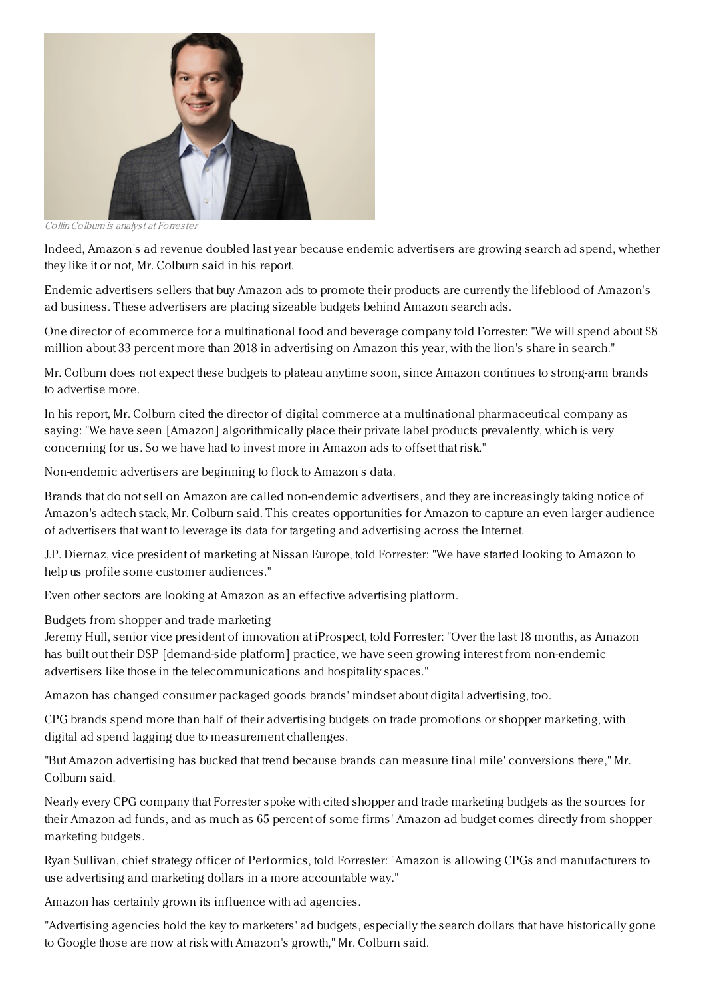

Collin Colbum is analyst at Forrester

Indeed, Amazon's ad revenue doubled last year because endemic advertisers are growing search ad spend, whether they like it or not, Mr. Colburn said in his report.

Endemic advertisers sellers that buy Amazon ads to promote their products are currently the lifeblood of Amazon's ad business. These advertisers are placing sizeable budgets behind Amazon search ads.

One director of ecommerce for a multinational food and beverage company told Forrester: "We will spend about \$8 million about 33 percent more than 2018 in advertising on Amazon this year, with the lion's share in search."

Mr. Colburn does not expect these budgets to plateau anytime soon, since Amazon continues to strong-arm brands to advertise more.

In his report, Mr. Colburn cited the director of digital commerce at a multinational pharmaceutical company as saying: "We have seen [Amazon] algorithmically place their private label products prevalently, which is very concerning for us. So we have had to invest more in Amazon ads to offset that risk."

Non-endemic advertisers are beginning to flock to Amazon's data.

Brands that do not sell on Amazon are called non-endemic advertisers, and they are increasingly taking notice of Amazon's adtech stack, Mr. Colburn said. This creates opportunities for Amazon to capture an even larger audience of advertisers that want to leverage its data for targeting and advertising across the Internet.

J.P. Diernaz, vice president of marketing at Nissan Europe, told Forrester: "We have started looking to Amazon to help us profile some customer audiences."

Even other sectors are looking at Amazon as an effective advertising platform.

Budgets from shopper and trade marketing

Jeremy Hull, senior vice president of innovation at iProspect, told Forrester: "Over the last 18 months, as Amazon has built out their DSP [demand-side platform] practice, we have seen growing interest from non-endemic advertisers like those in the telecommunications and hospitality spaces."

Amazon has changed consumer packaged goods brands' mindset about digital advertising, too.

CPG brands spend more than half of their advertising budgets on trade promotions or shopper marketing, with digital ad spend lagging due to measurement challenges.

"But Amazon advertising has bucked that trend because brands can measure final mile' conversions there," Mr. Colburn said.

Nearly every CPG company that Forrester spoke with cited shopper and trade marketing budgets as the sources for their Amazon ad funds, and as much as 65 percent of some firms' Amazon ad budget comes directly from shopper marketing budgets.

Ryan Sullivan, chief strategy officer of Performics, told Forrester: "Amazon is allowing CPGs and manufacturers to use advertising and marketing dollars in a more accountable way."

Amazon has certainly grown its influence with ad agencies.

"Advertising agencies hold the key to marketers' ad budgets, especially the search dollars that have historically gone to Google those are now at risk with Amazon's growth," Mr. Colburn said.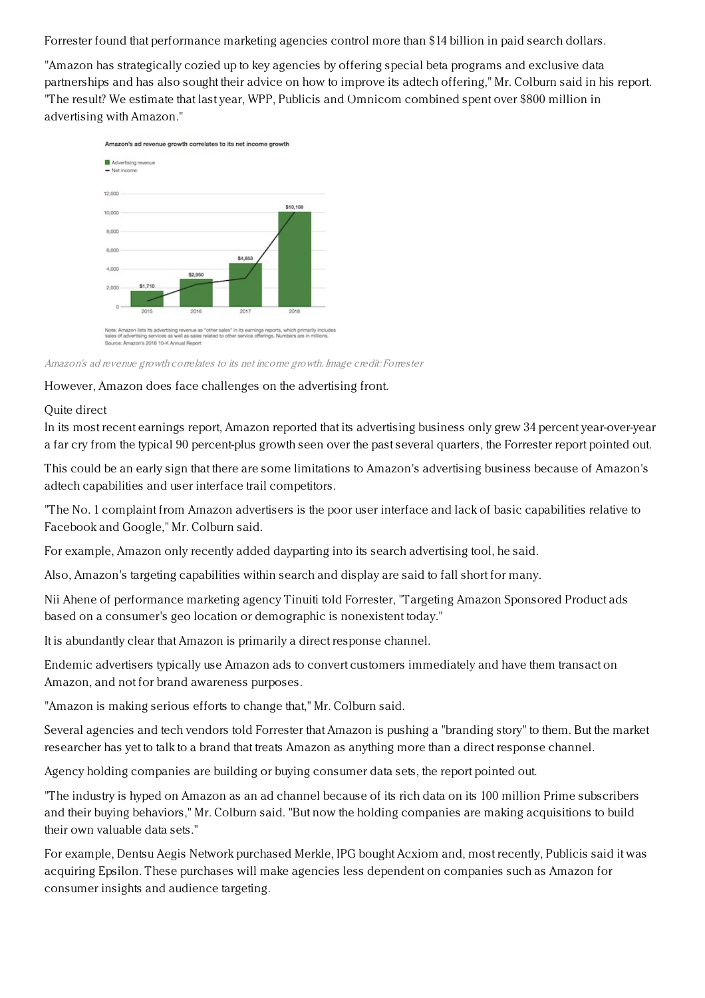Forrester found that performance marketing agencies control more than \$14 billion in paid search dollars.

"Amazon has strategically cozied up to key agencies by offering special beta programs and exclusive data partnerships and has also sought their advice on how to improve its adtech offering," Mr. Colburn said in his report. "The result? We estimate that last year, WPP, Publicis and Omnicom combined spent over \$800 million in advertising with Amazon."



Amazon's ad revenue growth correlates to its net income growth. Image credit: Forrester

However, Amazon does face challenges on the advertising front.

## Quite direct

In its most recent earnings report, Amazon reported that its advertising business only grew 34 percent year-over-year a far cry from the typical 90 percent-plus growth seen over the past several quarters, the Forrester report pointed out.

This could be an early sign that there are some limitations to Amazon's advertising business because of Amazon's adtech capabilities and user interface trail competitors.

"The No. 1 complaint from Amazon advertisers is the poor user interface and lack of basic capabilities relative to Facebook and Google," Mr. Colburn said.

For example, Amazon only recently added dayparting into its search advertising tool, he said.

Also, Amazon's targeting capabilities within search and display are said to fall short for many.

Nii Ahene of performance marketing agency Tinuiti told Forrester, "Targeting Amazon Sponsored Product ads based on a consumer's geo location or demographic is nonexistent today."

It is abundantly clear that Amazon is primarily a direct response channel.

Endemic advertisers typically use Amazon ads to convert customers immediately and have them transact on Amazon, and not for brand awareness purposes.

"Amazon is making serious efforts to change that," Mr. Colburn said.

Several agencies and tech vendors told Forrester that Amazon is pushing a "branding story" to them. But the market researcher has yet to talk to a brand that treats Amazon as anything more than a direct response channel.

Agency holding companies are building or buying consumer data sets, the report pointed out.

"The industry is hyped on Amazon as an ad channel because of its rich data on its 100 million Prime subscribers and their buying behaviors," Mr. Colburn said. "But now the holding companies are making acquisitions to build their own valuable data sets."

For example, Dentsu Aegis Network purchased Merkle, IPG bought Acxiom and, most recently, Publicis said it was acquiring Epsilon. These purchases will make agencies less dependent on companies such as Amazon for consumer insights and audience targeting.